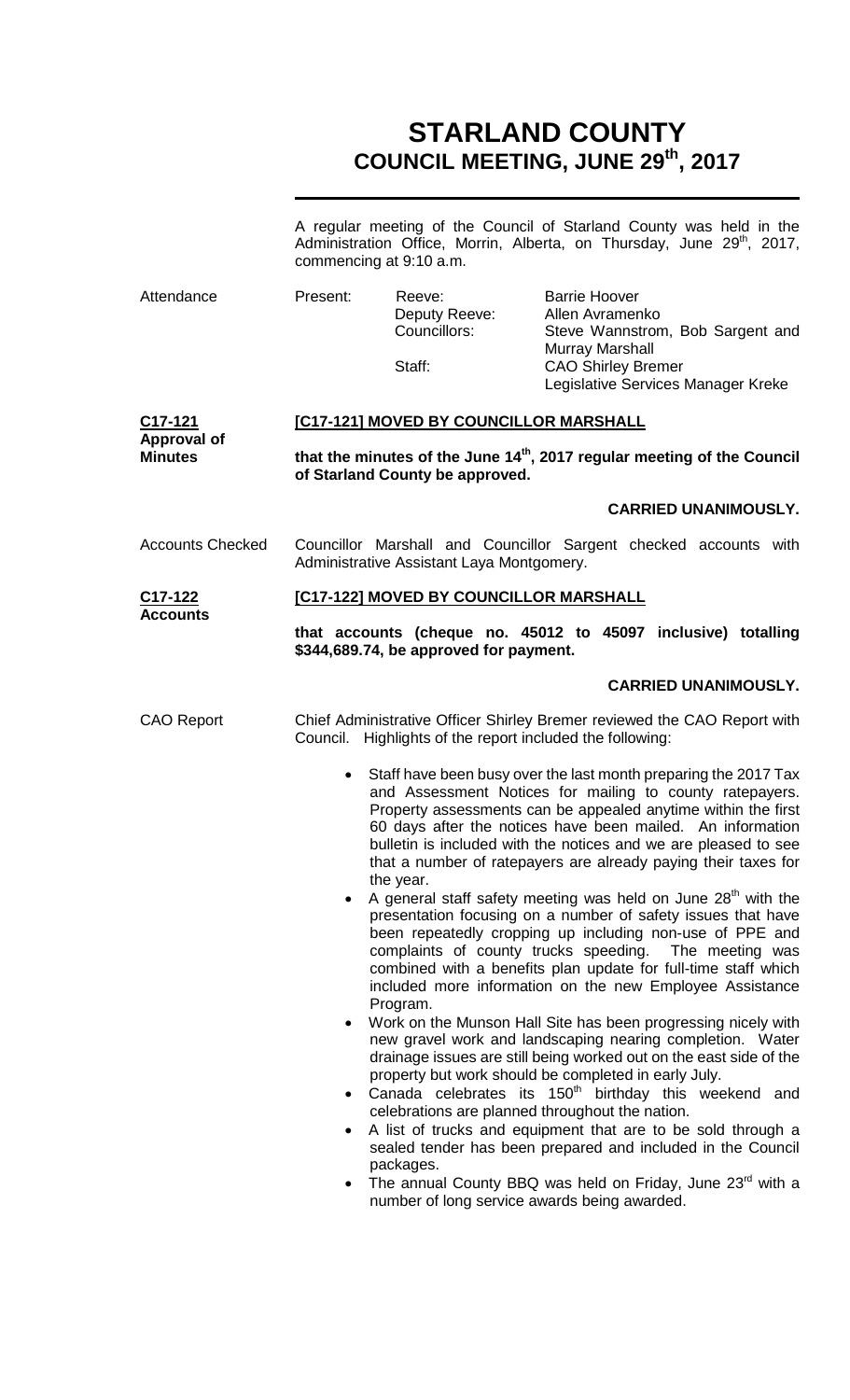# **STARLAND COUNTY COUNCIL MEETING, JUNE 29th, 2017**

|                                                 | A regular meeting of the Council of Starland County was held in the<br>Administration Office, Morrin, Alberta, on Thursday, June 29 <sup>th</sup> , 2017,<br>commencing at 9:10 a.m.                                                                                                                                                                                                                                      |                                                   |                                                                                                                                                                                                                                                                                                                                                                                                                                                                                                                                                                                                                               |  |  |
|-------------------------------------------------|---------------------------------------------------------------------------------------------------------------------------------------------------------------------------------------------------------------------------------------------------------------------------------------------------------------------------------------------------------------------------------------------------------------------------|---------------------------------------------------|-------------------------------------------------------------------------------------------------------------------------------------------------------------------------------------------------------------------------------------------------------------------------------------------------------------------------------------------------------------------------------------------------------------------------------------------------------------------------------------------------------------------------------------------------------------------------------------------------------------------------------|--|--|
| Attendance                                      | Present:                                                                                                                                                                                                                                                                                                                                                                                                                  | Reeve:<br>Deputy Reeve:<br>Councillors:<br>Staff: | <b>Barrie Hoover</b><br>Allen Avramenko<br>Steve Wannstrom, Bob Sargent and<br><b>Murray Marshall</b><br><b>CAO Shirley Bremer</b><br>Legislative Services Manager Kreke                                                                                                                                                                                                                                                                                                                                                                                                                                                      |  |  |
| C17-121<br><b>Approval of</b><br><b>Minutes</b> | [C17-121] MOVED BY COUNCILLOR MARSHALL                                                                                                                                                                                                                                                                                                                                                                                    |                                                   |                                                                                                                                                                                                                                                                                                                                                                                                                                                                                                                                                                                                                               |  |  |
|                                                 | that the minutes of the June 14 <sup>th</sup> , 2017 regular meeting of the Council<br>of Starland County be approved.                                                                                                                                                                                                                                                                                                    |                                                   |                                                                                                                                                                                                                                                                                                                                                                                                                                                                                                                                                                                                                               |  |  |
|                                                 |                                                                                                                                                                                                                                                                                                                                                                                                                           |                                                   | <b>CARRIED UNANIMOUSLY.</b>                                                                                                                                                                                                                                                                                                                                                                                                                                                                                                                                                                                                   |  |  |
| <b>Accounts Checked</b>                         | Councillor Marshall and Councillor Sargent checked accounts with<br>Administrative Assistant Laya Montgomery.                                                                                                                                                                                                                                                                                                             |                                                   |                                                                                                                                                                                                                                                                                                                                                                                                                                                                                                                                                                                                                               |  |  |
| C17-122<br><b>Accounts</b>                      | [C17-122] MOVED BY COUNCILLOR MARSHALL                                                                                                                                                                                                                                                                                                                                                                                    |                                                   |                                                                                                                                                                                                                                                                                                                                                                                                                                                                                                                                                                                                                               |  |  |
|                                                 | that accounts (cheque no. 45012 to 45097 inclusive) totalling<br>\$344,689.74, be approved for payment.                                                                                                                                                                                                                                                                                                                   |                                                   |                                                                                                                                                                                                                                                                                                                                                                                                                                                                                                                                                                                                                               |  |  |
|                                                 |                                                                                                                                                                                                                                                                                                                                                                                                                           |                                                   | <b>CARRIED UNANIMOUSLY.</b>                                                                                                                                                                                                                                                                                                                                                                                                                                                                                                                                                                                                   |  |  |
| <b>CAO Report</b>                               | Chief Administrative Officer Shirley Bremer reviewed the CAO Report with<br>Council. Highlights of the report included the following:                                                                                                                                                                                                                                                                                     |                                                   |                                                                                                                                                                                                                                                                                                                                                                                                                                                                                                                                                                                                                               |  |  |
|                                                 | Staff have been busy over the last month preparing the 2017 Tax<br>$\bullet$<br>and Assessment Notices for mailing to county ratepayers.<br>Property assessments can be appealed anytime within the first<br>60 days after the notices have been mailed. An information<br>bulletin is included with the notices and we are pleased to see<br>that a number of ratepayers are already paying their taxes for<br>the year. |                                                   |                                                                                                                                                                                                                                                                                                                                                                                                                                                                                                                                                                                                                               |  |  |
|                                                 | A general staff safety meeting was held on June 28 <sup>th</sup> with the<br>presentation focusing on a number of safety issues that have<br>been repeatedly cropping up including non-use of PPE and<br>complaints of county trucks speeding. The meeting was<br>combined with a benefits plan update for full-time staff which<br>included more information on the new Employee Assistance<br>Program.                  |                                                   |                                                                                                                                                                                                                                                                                                                                                                                                                                                                                                                                                                                                                               |  |  |
|                                                 |                                                                                                                                                                                                                                                                                                                                                                                                                           | packages.                                         | Work on the Munson Hall Site has been progressing nicely with<br>new gravel work and landscaping nearing completion. Water<br>drainage issues are still being worked out on the east side of the<br>property but work should be completed in early July.<br>Canada celebrates its 150 <sup>th</sup> birthday this weekend and<br>celebrations are planned throughout the nation.<br>A list of trucks and equipment that are to be sold through a<br>sealed tender has been prepared and included in the Council<br>The annual County BBQ was held on Friday, June 23rd with a<br>number of long service awards being awarded. |  |  |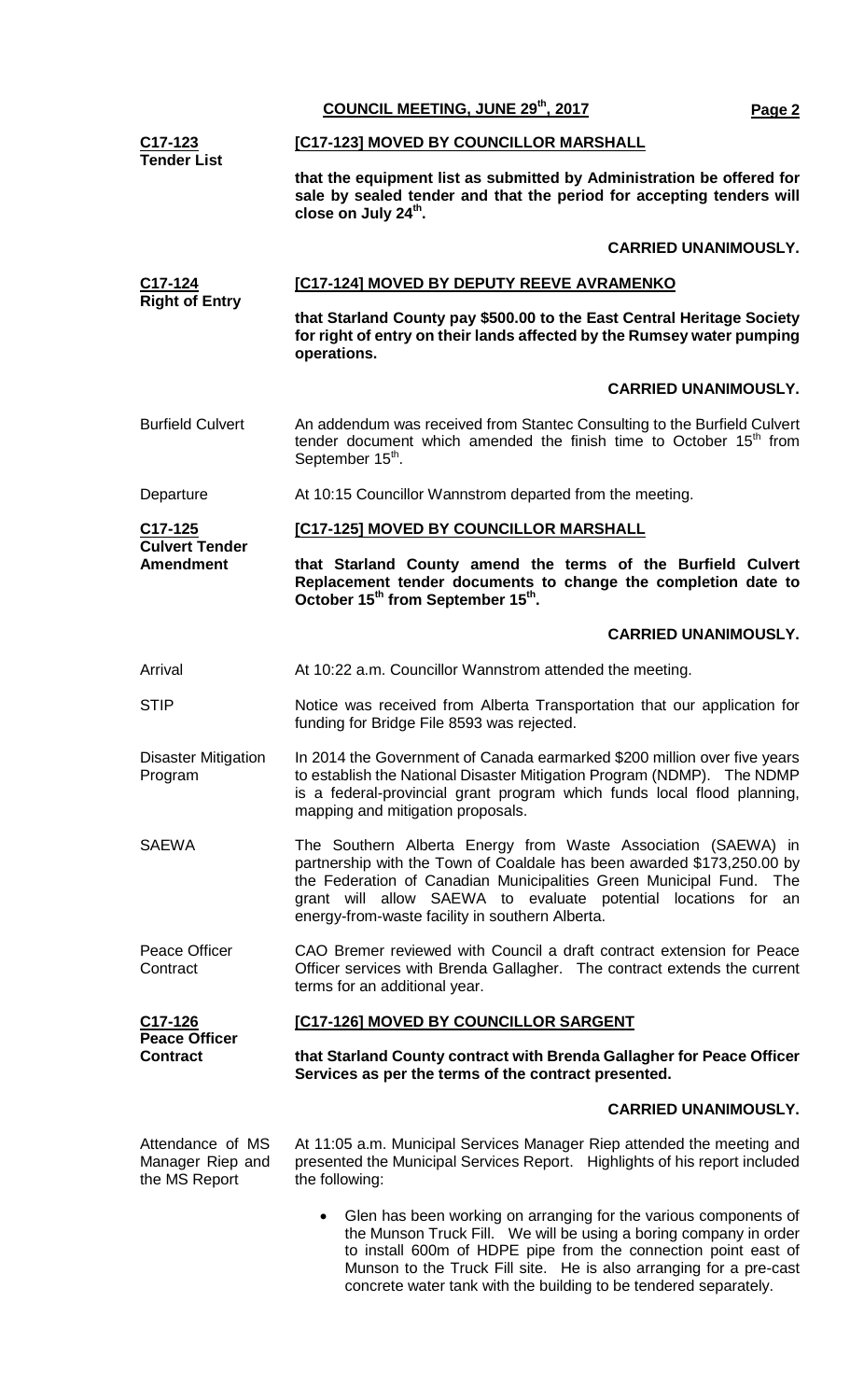|                                                       | COUNCIL MEETING, JUNE 29th, 2017<br>Page 2                                                                                                                                                                                                                                                                                         |  |  |  |
|-------------------------------------------------------|------------------------------------------------------------------------------------------------------------------------------------------------------------------------------------------------------------------------------------------------------------------------------------------------------------------------------------|--|--|--|
| C17-123                                               | [C17-123] MOVED BY COUNCILLOR MARSHALL                                                                                                                                                                                                                                                                                             |  |  |  |
| <b>Tender List</b>                                    | that the equipment list as submitted by Administration be offered for<br>sale by sealed tender and that the period for accepting tenders will<br>close on July 24 <sup>th</sup> .                                                                                                                                                  |  |  |  |
|                                                       | <b>CARRIED UNANIMOUSLY.</b>                                                                                                                                                                                                                                                                                                        |  |  |  |
| C17-124<br><b>Right of Entry</b>                      | [C17-124] MOVED BY DEPUTY REEVE AVRAMENKO                                                                                                                                                                                                                                                                                          |  |  |  |
|                                                       | that Starland County pay \$500.00 to the East Central Heritage Society<br>for right of entry on their lands affected by the Rumsey water pumping<br>operations.                                                                                                                                                                    |  |  |  |
|                                                       | <b>CARRIED UNANIMOUSLY.</b>                                                                                                                                                                                                                                                                                                        |  |  |  |
| <b>Burfield Culvert</b>                               | An addendum was received from Stantec Consulting to the Burfield Culvert<br>tender document which amended the finish time to October 15 <sup>th</sup> from<br>September 15 <sup>th</sup> .                                                                                                                                         |  |  |  |
| Departure                                             | At 10:15 Councillor Wannstrom departed from the meeting.                                                                                                                                                                                                                                                                           |  |  |  |
| C <sub>17</sub> -125                                  | [C17-125] MOVED BY COUNCILLOR MARSHALL                                                                                                                                                                                                                                                                                             |  |  |  |
| <b>Culvert Tender</b><br><b>Amendment</b>             | that Starland County amend the terms of the Burfield Culvert<br>Replacement tender documents to change the completion date to<br>October 15 <sup>th</sup> from September 15 <sup>th</sup> .                                                                                                                                        |  |  |  |
|                                                       | <b>CARRIED UNANIMOUSLY.</b>                                                                                                                                                                                                                                                                                                        |  |  |  |
| Arrival                                               | At 10:22 a.m. Councillor Wannstrom attended the meeting.                                                                                                                                                                                                                                                                           |  |  |  |
| <b>STIP</b>                                           | Notice was received from Alberta Transportation that our application for<br>funding for Bridge File 8593 was rejected.                                                                                                                                                                                                             |  |  |  |
| <b>Disaster Mitigation</b><br>Program                 | In 2014 the Government of Canada earmarked \$200 million over five years<br>to establish the National Disaster Mitigation Program (NDMP). The NDMP<br>is a federal-provincial grant program which funds local flood planning,<br>mapping and mitigation proposals.                                                                 |  |  |  |
| <b>SAEWA</b>                                          | The Southern Alberta Energy from Waste Association (SAEWA) in<br>partnership with the Town of Coaldale has been awarded \$173,250.00 by<br>the Federation of Canadian Municipalities Green Municipal Fund. The<br>grant will allow SAEWA to evaluate potential locations for an<br>energy-from-waste facility in southern Alberta. |  |  |  |
| Peace Officer<br>Contract                             | CAO Bremer reviewed with Council a draft contract extension for Peace<br>Officer services with Brenda Gallagher. The contract extends the current<br>terms for an additional year.                                                                                                                                                 |  |  |  |
| C17-126<br><b>Peace Officer</b><br><b>Contract</b>    | [C17-126] MOVED BY COUNCILLOR SARGENT                                                                                                                                                                                                                                                                                              |  |  |  |
|                                                       | that Starland County contract with Brenda Gallagher for Peace Officer<br>Services as per the terms of the contract presented.                                                                                                                                                                                                      |  |  |  |
|                                                       | <b>CARRIED UNANIMOUSLY.</b>                                                                                                                                                                                                                                                                                                        |  |  |  |
| Attendance of MS<br>Manager Riep and<br>the MS Report | At 11:05 a.m. Municipal Services Manager Riep attended the meeting and<br>presented the Municipal Services Report. Highlights of his report included<br>the following:                                                                                                                                                             |  |  |  |
|                                                       | Glen has been working on arranging for the various components of<br>$\bullet$<br>the Munson Truck Fill. We will be using a boring company in order<br>to install 600m of HDPE pipe from the connection point east of<br>Munson to the Truck Fill site. He is also arranging for a pre-cast                                         |  |  |  |

concrete water tank with the building to be tendered separately.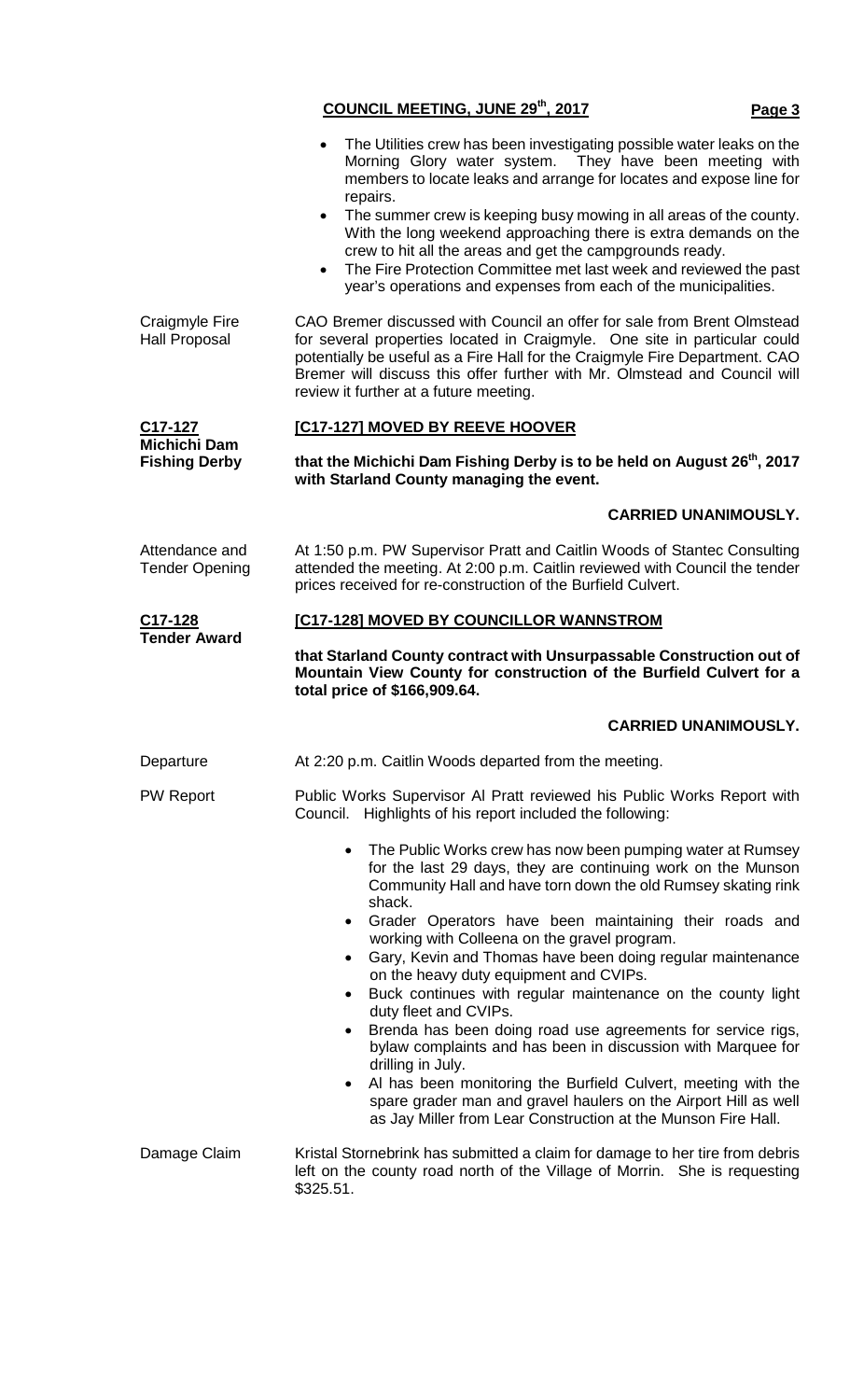|                                             | <b>COUNCIL MEETING, JUNE 29th, 2017</b><br>Page 3                                                                                                                                                                                                                                                                                                          |  |  |  |
|---------------------------------------------|------------------------------------------------------------------------------------------------------------------------------------------------------------------------------------------------------------------------------------------------------------------------------------------------------------------------------------------------------------|--|--|--|
|                                             | The Utilities crew has been investigating possible water leaks on the<br>Morning Glory water system. They have been meeting with<br>members to locate leaks and arrange for locates and expose line for<br>repairs.                                                                                                                                        |  |  |  |
|                                             | • The summer crew is keeping busy mowing in all areas of the county.<br>With the long weekend approaching there is extra demands on the<br>crew to hit all the areas and get the campgrounds ready.<br>The Fire Protection Committee met last week and reviewed the past<br>year's operations and expenses from each of the municipalities.                |  |  |  |
| Craigmyle Fire<br><b>Hall Proposal</b>      | CAO Bremer discussed with Council an offer for sale from Brent Olmstead<br>for several properties located in Craigmyle. One site in particular could<br>potentially be useful as a Fire Hall for the Craigmyle Fire Department. CAO<br>Bremer will discuss this offer further with Mr. Olmstead and Council will<br>review it further at a future meeting. |  |  |  |
| C17-127                                     | [C17-127] MOVED BY REEVE HOOVER                                                                                                                                                                                                                                                                                                                            |  |  |  |
| <b>Michichi Dam</b><br><b>Fishing Derby</b> | that the Michichi Dam Fishing Derby is to be held on August 26 <sup>th</sup> , 2017<br>with Starland County managing the event.                                                                                                                                                                                                                            |  |  |  |
|                                             | <b>CARRIED UNANIMOUSLY.</b>                                                                                                                                                                                                                                                                                                                                |  |  |  |
| Attendance and<br><b>Tender Opening</b>     | At 1:50 p.m. PW Supervisor Pratt and Caitlin Woods of Stantec Consulting<br>attended the meeting. At 2:00 p.m. Caitlin reviewed with Council the tender<br>prices received for re-construction of the Burfield Culvert.                                                                                                                                    |  |  |  |
| C17-128<br><b>Tender Award</b>              | [C17-128] MOVED BY COUNCILLOR WANNSTROM                                                                                                                                                                                                                                                                                                                    |  |  |  |
|                                             | that Starland County contract with Unsurpassable Construction out of<br>Mountain View County for construction of the Burfield Culvert for a<br>total price of \$166,909.64.                                                                                                                                                                                |  |  |  |
|                                             | <b>CARRIED UNANIMOUSLY.</b>                                                                                                                                                                                                                                                                                                                                |  |  |  |
| Departure                                   | At 2:20 p.m. Caitlin Woods departed from the meeting.                                                                                                                                                                                                                                                                                                      |  |  |  |
| <b>PW Report</b>                            | Public Works Supervisor AI Pratt reviewed his Public Works Report with<br>Council. Highlights of his report included the following:                                                                                                                                                                                                                        |  |  |  |
|                                             | The Public Works crew has now been pumping water at Rumsey<br>$\bullet$<br>for the last 29 days, they are continuing work on the Munson<br>Community Hall and have torn down the old Rumsey skating rink<br>shack.                                                                                                                                         |  |  |  |
|                                             | Grader Operators have been maintaining their roads and<br>working with Colleena on the gravel program.                                                                                                                                                                                                                                                     |  |  |  |
|                                             | Gary, Kevin and Thomas have been doing regular maintenance<br>$\bullet$<br>on the heavy duty equipment and CVIPs.                                                                                                                                                                                                                                          |  |  |  |
|                                             | Buck continues with regular maintenance on the county light<br>duty fleet and CVIPs.                                                                                                                                                                                                                                                                       |  |  |  |
|                                             | Brenda has been doing road use agreements for service rigs,<br>bylaw complaints and has been in discussion with Marquee for<br>drilling in July.                                                                                                                                                                                                           |  |  |  |
|                                             | Al has been monitoring the Burfield Culvert, meeting with the<br>spare grader man and gravel haulers on the Airport Hill as well<br>as Jay Miller from Lear Construction at the Munson Fire Hall.                                                                                                                                                          |  |  |  |
| Damage Claim                                | Kristal Stornebrink has submitted a claim for damage to her tire from debris<br>left on the county road north of the Village of Morrin. She is requesting                                                                                                                                                                                                  |  |  |  |

\$325.51.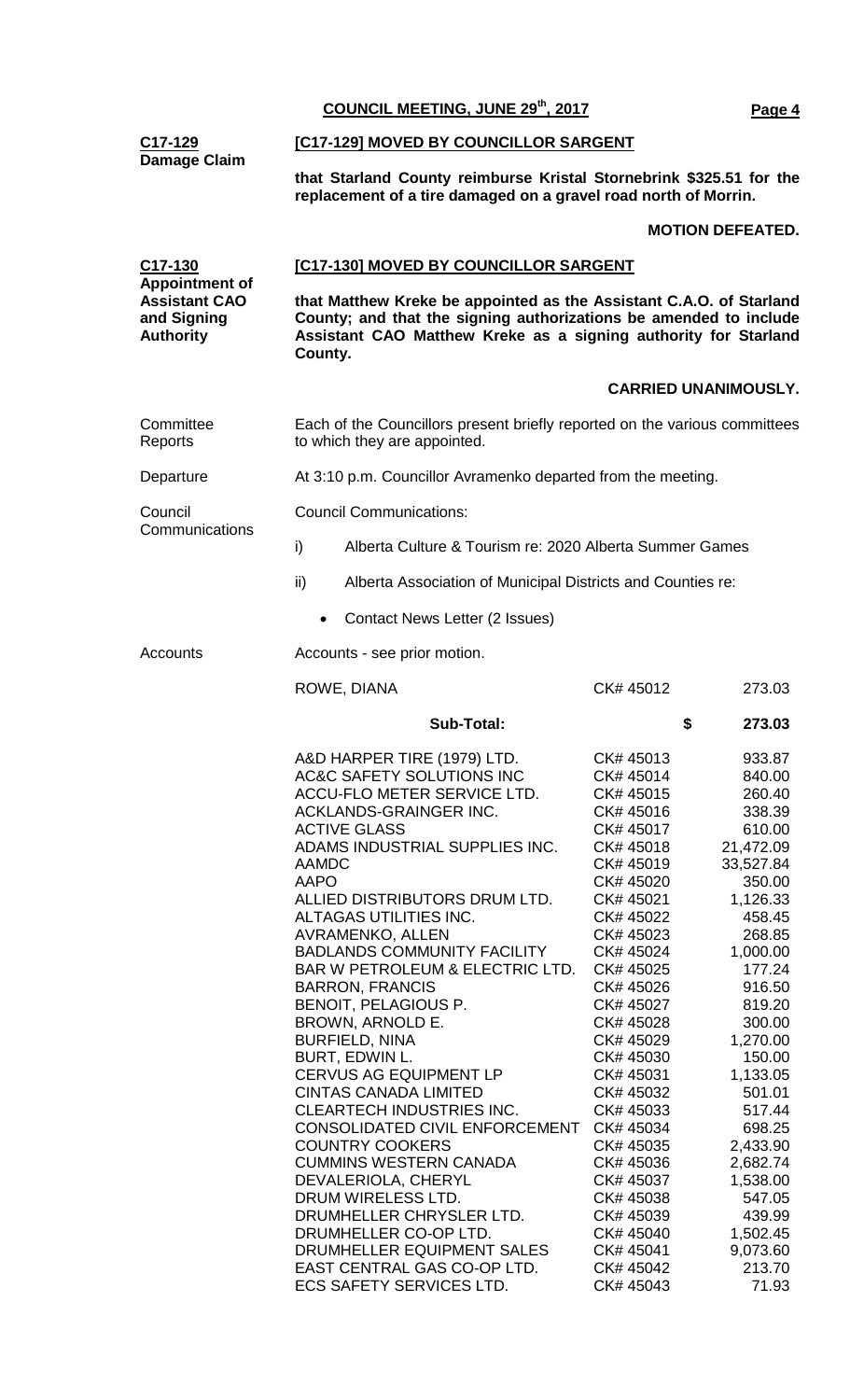|                                                                                                          | COUNCIL MEETING, JUNE 29th, 2017                                                                                                                                                                                                                                                                                                                                                                                                                                                                                                                                                                                                                                                                                                                                                                                                                                                | Page 4                                                                                                                                                                                                                                                                                                                                                                                                                                                                                                                                                                                                                                                                                                                                                       |  |  |  |  |
|----------------------------------------------------------------------------------------------------------|---------------------------------------------------------------------------------------------------------------------------------------------------------------------------------------------------------------------------------------------------------------------------------------------------------------------------------------------------------------------------------------------------------------------------------------------------------------------------------------------------------------------------------------------------------------------------------------------------------------------------------------------------------------------------------------------------------------------------------------------------------------------------------------------------------------------------------------------------------------------------------|--------------------------------------------------------------------------------------------------------------------------------------------------------------------------------------------------------------------------------------------------------------------------------------------------------------------------------------------------------------------------------------------------------------------------------------------------------------------------------------------------------------------------------------------------------------------------------------------------------------------------------------------------------------------------------------------------------------------------------------------------------------|--|--|--|--|
| <u>C17-129</u>                                                                                           | [C17-129] MOVED BY COUNCILLOR SARGENT                                                                                                                                                                                                                                                                                                                                                                                                                                                                                                                                                                                                                                                                                                                                                                                                                                           |                                                                                                                                                                                                                                                                                                                                                                                                                                                                                                                                                                                                                                                                                                                                                              |  |  |  |  |
| <b>Damage Claim</b>                                                                                      | that Starland County reimburse Kristal Stornebrink \$325.51 for the<br>replacement of a tire damaged on a gravel road north of Morrin.                                                                                                                                                                                                                                                                                                                                                                                                                                                                                                                                                                                                                                                                                                                                          |                                                                                                                                                                                                                                                                                                                                                                                                                                                                                                                                                                                                                                                                                                                                                              |  |  |  |  |
|                                                                                                          |                                                                                                                                                                                                                                                                                                                                                                                                                                                                                                                                                                                                                                                                                                                                                                                                                                                                                 | <b>MOTION DEFEATED.</b>                                                                                                                                                                                                                                                                                                                                                                                                                                                                                                                                                                                                                                                                                                                                      |  |  |  |  |
| C <sub>17</sub> -130<br><b>Appointment of</b><br><b>Assistant CAO</b><br>and Signing<br><b>Authority</b> | <b>[C17-130] MOVED BY COUNCILLOR SARGENT</b>                                                                                                                                                                                                                                                                                                                                                                                                                                                                                                                                                                                                                                                                                                                                                                                                                                    |                                                                                                                                                                                                                                                                                                                                                                                                                                                                                                                                                                                                                                                                                                                                                              |  |  |  |  |
|                                                                                                          | that Matthew Kreke be appointed as the Assistant C.A.O. of Starland<br>County; and that the signing authorizations be amended to include<br>Assistant CAO Matthew Kreke as a signing authority for Starland<br>County.                                                                                                                                                                                                                                                                                                                                                                                                                                                                                                                                                                                                                                                          |                                                                                                                                                                                                                                                                                                                                                                                                                                                                                                                                                                                                                                                                                                                                                              |  |  |  |  |
|                                                                                                          |                                                                                                                                                                                                                                                                                                                                                                                                                                                                                                                                                                                                                                                                                                                                                                                                                                                                                 | <b>CARRIED UNANIMOUSLY.</b>                                                                                                                                                                                                                                                                                                                                                                                                                                                                                                                                                                                                                                                                                                                                  |  |  |  |  |
| Committee<br>Reports                                                                                     | Each of the Councillors present briefly reported on the various committees<br>to which they are appointed.                                                                                                                                                                                                                                                                                                                                                                                                                                                                                                                                                                                                                                                                                                                                                                      |                                                                                                                                                                                                                                                                                                                                                                                                                                                                                                                                                                                                                                                                                                                                                              |  |  |  |  |
| Departure                                                                                                | At 3:10 p.m. Councillor Avramenko departed from the meeting.                                                                                                                                                                                                                                                                                                                                                                                                                                                                                                                                                                                                                                                                                                                                                                                                                    |                                                                                                                                                                                                                                                                                                                                                                                                                                                                                                                                                                                                                                                                                                                                                              |  |  |  |  |
| Council<br>Communications                                                                                | <b>Council Communications:</b>                                                                                                                                                                                                                                                                                                                                                                                                                                                                                                                                                                                                                                                                                                                                                                                                                                                  |                                                                                                                                                                                                                                                                                                                                                                                                                                                                                                                                                                                                                                                                                                                                                              |  |  |  |  |
|                                                                                                          | i)<br>Alberta Culture & Tourism re: 2020 Alberta Summer Games                                                                                                                                                                                                                                                                                                                                                                                                                                                                                                                                                                                                                                                                                                                                                                                                                   |                                                                                                                                                                                                                                                                                                                                                                                                                                                                                                                                                                                                                                                                                                                                                              |  |  |  |  |
|                                                                                                          | ii)<br>Alberta Association of Municipal Districts and Counties re:                                                                                                                                                                                                                                                                                                                                                                                                                                                                                                                                                                                                                                                                                                                                                                                                              |                                                                                                                                                                                                                                                                                                                                                                                                                                                                                                                                                                                                                                                                                                                                                              |  |  |  |  |
|                                                                                                          | Contact News Letter (2 Issues)<br>$\bullet$                                                                                                                                                                                                                                                                                                                                                                                                                                                                                                                                                                                                                                                                                                                                                                                                                                     |                                                                                                                                                                                                                                                                                                                                                                                                                                                                                                                                                                                                                                                                                                                                                              |  |  |  |  |
| Accounts                                                                                                 | Accounts - see prior motion.                                                                                                                                                                                                                                                                                                                                                                                                                                                                                                                                                                                                                                                                                                                                                                                                                                                    |                                                                                                                                                                                                                                                                                                                                                                                                                                                                                                                                                                                                                                                                                                                                                              |  |  |  |  |
|                                                                                                          | ROWE, DIANA                                                                                                                                                                                                                                                                                                                                                                                                                                                                                                                                                                                                                                                                                                                                                                                                                                                                     | CK# 45012<br>273.03                                                                                                                                                                                                                                                                                                                                                                                                                                                                                                                                                                                                                                                                                                                                          |  |  |  |  |
|                                                                                                          | <b>Sub-Total:</b>                                                                                                                                                                                                                                                                                                                                                                                                                                                                                                                                                                                                                                                                                                                                                                                                                                                               | \$<br>273.03                                                                                                                                                                                                                                                                                                                                                                                                                                                                                                                                                                                                                                                                                                                                                 |  |  |  |  |
|                                                                                                          | A&D HARPER TIRE (1979) LTD.<br>AC&C SAFETY SOLUTIONS INC<br>ACCU-FLO METER SERVICE LTD.<br>ACKLANDS-GRAINGER INC.<br><b>ACTIVE GLASS</b><br>ADAMS INDUSTRIAL SUPPLIES INC.<br><b>AAMDC</b><br><b>AAPO</b><br>ALLIED DISTRIBUTORS DRUM LTD.<br>ALTAGAS UTILITIES INC.<br>AVRAMENKO, ALLEN<br><b>BADLANDS COMMUNITY FACILITY</b><br>BAR W PETROLEUM & ELECTRIC LTD.<br><b>BARRON, FRANCIS</b><br>BENOIT, PELAGIOUS P.<br>BROWN, ARNOLD E.<br><b>BURFIELD, NINA</b><br>BURT, EDWIN L.<br><b>CERVUS AG EQUIPMENT LP</b><br><b>CINTAS CANADA LIMITED</b><br>CLEARTECH INDUSTRIES INC.<br>CONSOLIDATED CIVIL ENFORCEMENT<br><b>COUNTRY COOKERS</b><br><b>CUMMINS WESTERN CANADA</b><br>DEVALERIOLA, CHERYL<br>DRUM WIRELESS LTD.<br>DRUMHELLER CHRYSLER LTD.<br>DRUMHELLER CO-OP LTD.<br>DRUMHELLER EQUIPMENT SALES<br>EAST CENTRAL GAS CO-OP LTD.<br><b>ECS SAFETY SERVICES LTD.</b> | CK# 45013<br>933.87<br>CK# 45014<br>840.00<br>CK# 45015<br>260.40<br>CK# 45016<br>338.39<br>610.00<br>CK# 45017<br>CK# 45018<br>21,472.09<br>33,527.84<br>CK# 45019<br>350.00<br>CK# 45020<br>CK# 45021<br>1,126.33<br>CK# 45022<br>458.45<br>CK# 45023<br>268.85<br>CK# 45024<br>1,000.00<br>177.24<br>CK# 45025<br>CK# 45026<br>916.50<br>CK# 45027<br>819.20<br>CK# 45028<br>300.00<br>CK# 45029<br>1,270.00<br>CK# 45030<br>150.00<br>CK# 45031<br>1,133.05<br>CK# 45032<br>501.01<br>CK# 45033<br>517.44<br>CK# 45034<br>698.25<br>2,433.90<br>CK# 45035<br>2,682.74<br>CK# 45036<br>CK# 45037<br>1,538.00<br>CK# 45038<br>547.05<br>CK# 45039<br>439.99<br>CK# 45040<br>1,502.45<br>CK# 45041<br>9,073.60<br>CK# 45042<br>213.70<br>CK# 45043<br>71.93 |  |  |  |  |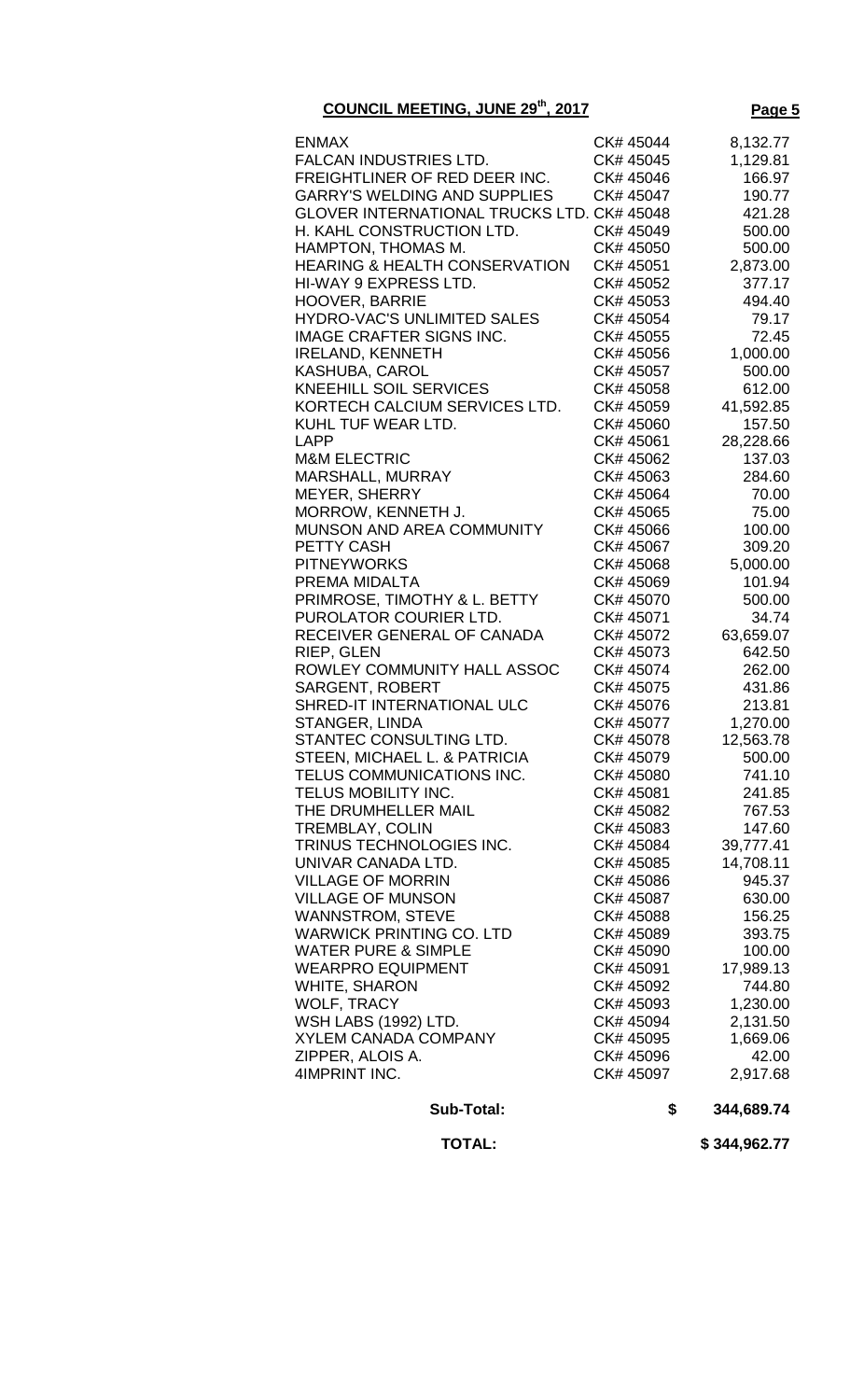## **COUNCIL MEETING, JUNE 29th, 2017 Page 5**

| CK# 45044 | 8,132.77                                                                                                                                                                                                                                                                                                                                                                                                                                                                                                                                                                                               |
|-----------|--------------------------------------------------------------------------------------------------------------------------------------------------------------------------------------------------------------------------------------------------------------------------------------------------------------------------------------------------------------------------------------------------------------------------------------------------------------------------------------------------------------------------------------------------------------------------------------------------------|
| CK# 45045 | 1,129.81                                                                                                                                                                                                                                                                                                                                                                                                                                                                                                                                                                                               |
|           | 166.97                                                                                                                                                                                                                                                                                                                                                                                                                                                                                                                                                                                                 |
|           | 190.77                                                                                                                                                                                                                                                                                                                                                                                                                                                                                                                                                                                                 |
|           | 421.28                                                                                                                                                                                                                                                                                                                                                                                                                                                                                                                                                                                                 |
|           | 500.00                                                                                                                                                                                                                                                                                                                                                                                                                                                                                                                                                                                                 |
|           | 500.00                                                                                                                                                                                                                                                                                                                                                                                                                                                                                                                                                                                                 |
|           | 2,873.00                                                                                                                                                                                                                                                                                                                                                                                                                                                                                                                                                                                               |
|           | 377.17                                                                                                                                                                                                                                                                                                                                                                                                                                                                                                                                                                                                 |
|           | 494.40                                                                                                                                                                                                                                                                                                                                                                                                                                                                                                                                                                                                 |
|           | 79.17                                                                                                                                                                                                                                                                                                                                                                                                                                                                                                                                                                                                  |
|           | 72.45                                                                                                                                                                                                                                                                                                                                                                                                                                                                                                                                                                                                  |
|           | 1,000.00                                                                                                                                                                                                                                                                                                                                                                                                                                                                                                                                                                                               |
|           | 500.00                                                                                                                                                                                                                                                                                                                                                                                                                                                                                                                                                                                                 |
|           | 612.00                                                                                                                                                                                                                                                                                                                                                                                                                                                                                                                                                                                                 |
|           | 41,592.85                                                                                                                                                                                                                                                                                                                                                                                                                                                                                                                                                                                              |
|           | 157.50                                                                                                                                                                                                                                                                                                                                                                                                                                                                                                                                                                                                 |
|           | 28,228.66<br>137.03                                                                                                                                                                                                                                                                                                                                                                                                                                                                                                                                                                                    |
|           | 284.60                                                                                                                                                                                                                                                                                                                                                                                                                                                                                                                                                                                                 |
|           | 70.00                                                                                                                                                                                                                                                                                                                                                                                                                                                                                                                                                                                                  |
|           | 75.00                                                                                                                                                                                                                                                                                                                                                                                                                                                                                                                                                                                                  |
|           | 100.00                                                                                                                                                                                                                                                                                                                                                                                                                                                                                                                                                                                                 |
|           | 309.20                                                                                                                                                                                                                                                                                                                                                                                                                                                                                                                                                                                                 |
|           | 5,000.00                                                                                                                                                                                                                                                                                                                                                                                                                                                                                                                                                                                               |
|           | 101.94                                                                                                                                                                                                                                                                                                                                                                                                                                                                                                                                                                                                 |
|           | 500.00                                                                                                                                                                                                                                                                                                                                                                                                                                                                                                                                                                                                 |
|           | 34.74                                                                                                                                                                                                                                                                                                                                                                                                                                                                                                                                                                                                  |
|           | 63,659.07                                                                                                                                                                                                                                                                                                                                                                                                                                                                                                                                                                                              |
|           | 642.50                                                                                                                                                                                                                                                                                                                                                                                                                                                                                                                                                                                                 |
|           | 262.00                                                                                                                                                                                                                                                                                                                                                                                                                                                                                                                                                                                                 |
|           | 431.86                                                                                                                                                                                                                                                                                                                                                                                                                                                                                                                                                                                                 |
|           | 213.81                                                                                                                                                                                                                                                                                                                                                                                                                                                                                                                                                                                                 |
| CK# 45077 | 1,270.00                                                                                                                                                                                                                                                                                                                                                                                                                                                                                                                                                                                               |
| CK# 45078 | 12,563.78                                                                                                                                                                                                                                                                                                                                                                                                                                                                                                                                                                                              |
| CK# 45079 | 500.00                                                                                                                                                                                                                                                                                                                                                                                                                                                                                                                                                                                                 |
| CK# 45080 | 741.10                                                                                                                                                                                                                                                                                                                                                                                                                                                                                                                                                                                                 |
| CK# 45081 | 241.85                                                                                                                                                                                                                                                                                                                                                                                                                                                                                                                                                                                                 |
| CK# 45082 | 767.53                                                                                                                                                                                                                                                                                                                                                                                                                                                                                                                                                                                                 |
| CK# 45083 | 147.60                                                                                                                                                                                                                                                                                                                                                                                                                                                                                                                                                                                                 |
| CK# 45084 | 39,777.41                                                                                                                                                                                                                                                                                                                                                                                                                                                                                                                                                                                              |
|           | 14,708.11                                                                                                                                                                                                                                                                                                                                                                                                                                                                                                                                                                                              |
|           | 945.37                                                                                                                                                                                                                                                                                                                                                                                                                                                                                                                                                                                                 |
|           | 630.00                                                                                                                                                                                                                                                                                                                                                                                                                                                                                                                                                                                                 |
|           | 156.25                                                                                                                                                                                                                                                                                                                                                                                                                                                                                                                                                                                                 |
|           | 393.75                                                                                                                                                                                                                                                                                                                                                                                                                                                                                                                                                                                                 |
|           | 100.00                                                                                                                                                                                                                                                                                                                                                                                                                                                                                                                                                                                                 |
|           | 17,989.13                                                                                                                                                                                                                                                                                                                                                                                                                                                                                                                                                                                              |
|           | 744.80                                                                                                                                                                                                                                                                                                                                                                                                                                                                                                                                                                                                 |
|           | 1,230.00                                                                                                                                                                                                                                                                                                                                                                                                                                                                                                                                                                                               |
|           | 2,131.50                                                                                                                                                                                                                                                                                                                                                                                                                                                                                                                                                                                               |
|           | 1,669.06                                                                                                                                                                                                                                                                                                                                                                                                                                                                                                                                                                                               |
| CK# 45096 | 42.00                                                                                                                                                                                                                                                                                                                                                                                                                                                                                                                                                                                                  |
|           |                                                                                                                                                                                                                                                                                                                                                                                                                                                                                                                                                                                                        |
| CK# 45097 | 2,917.68                                                                                                                                                                                                                                                                                                                                                                                                                                                                                                                                                                                               |
|           | CK# 45046<br>CK# 45047<br><b>GLOVER INTERNATIONAL TRUCKS LTD. CK# 45048</b><br>CK# 45049<br>CK# 45050<br>CK# 45051<br>CK# 45052<br>CK# 45053<br>CK# 45054<br>CK# 45055<br>CK# 45056<br>CK# 45057<br>CK# 45058<br>CK# 45059<br>CK# 45060<br>CK# 45061<br>CK# 45062<br>CK# 45063<br>CK# 45064<br>CK# 45065<br>CK# 45066<br>CK# 45067<br>CK# 45068<br>CK# 45069<br>CK# 45070<br>CK# 45071<br>CK# 45072<br>CK# 45073<br>CK# 45074<br>CK# 45075<br>CK# 45076<br>CK# 45085<br>CK# 45086<br>CK# 45087<br>CK# 45088<br>CK# 45089<br>CK# 45090<br>CK# 45091<br>CK# 45092<br>CK# 45093<br>CK# 45094<br>CK# 45095 |

 **TOTAL: \$ 344,962.77**